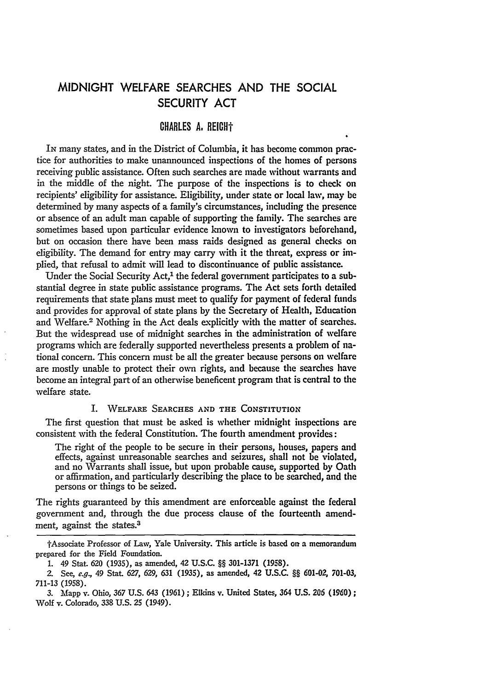# **MIDNIGHT** WELFARE **SEARCHES AND** THE **SOCIAL** SECURITY **ACT**

# **CHARLES A. REICHT**

IN many states, and in the District of Columbia, it has become common practice for authorities to make unannounced inspections of the homes of persons receiving public assistance. Often such searches are made without warrants and in the middle of the night. The purpose of the inspections is to check on recipients' eligibility for assistance. Eligibility, under state or local law, may be determined **by** many aspects of a family's circumstances, including the presence or absence of an adult man capable of supporting the family. The searches are sometimes based upon particular evidence known to investigators beforehand, but on occasion there have been mass raids designed as general checks on eligibility. The demand for entry may carry with it the threat, express or implied, that refusal to admit will lead to discontinuance of public assistance.

Under the Social Security Act,<sup>1</sup> the federal government participates to a substantial degree in state public assistance programs. The Act sets forth detailed requirements that state plans must meet to qualify for payment of federal funds and provides for approval of state plans **by** the Secretary of Health, Education and Welfare.2 Nothing in the Act deals explicitly with the matter of searches. But the widespread use of midnight searches in the administration of welfare programs which are federally supported nevertheless presents a problem of national concern. This concern must be all the greater because persons on welfare are mostly unable to protect their own rights, and because the searches have become an integral part of an otherwise beneficent program that is central to the welfare state.

### I. WELFARE **SEARCHES AND THE CONSTITUTION**

The first question that must be asked is whether midnight inspections are consistent with the federal Constitution. The fourth amendment provides:

The right of the people to be secure in their persons, houses, papers and effects, against unreasonable searches and seizures, shall not be violated, and no Warrants shall issue, but upon probable cause, supported **by** Oath or affirmation, and particularly describing the place to be searched, and the persons or things to be seized.

The rights guaranteed by this amendment are enforceable against the federal government and, through the due process clause of the fourteenth amendment, against the states.<sup>3</sup>

-Associate Professor of Law, Yale University. This article is based on a memorandum prepared for the Field Foundation.

1. 49 Stat. **620** (1935), as amended, 42 U.S.C. §§ 301-1371 (1958).

**2.** See, **e.g.,** 49 Stat. 627, **629, 631** (1935), as amended, 42 **U.S.C.** §§ 601-02, 701-03, 711-13 (1958).

**3.** Mapp v. Ohio, **367 U.S.** 643 (1961) **;** Elkins v. United States, 364 **U.S.** *206* (1960); Wolf v. Colorado, **338 U.S.** 25 (1949).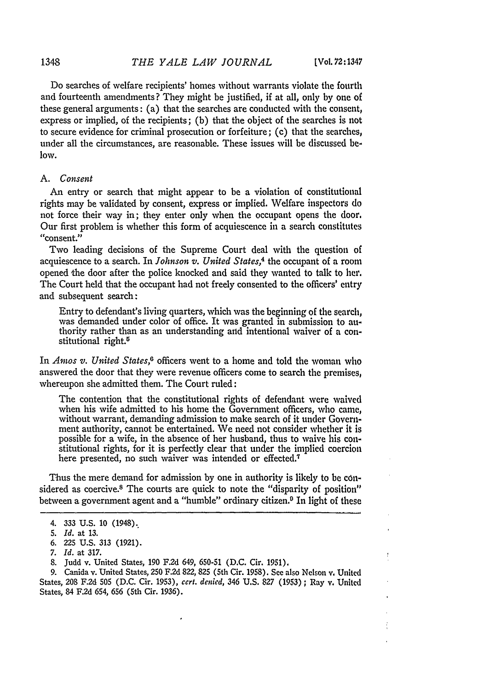Do searches of welfare recipients' homes without warrants violate the fourth and fourteenth amendments? They might be justified, if at all, only by one of these general arguments: (a) that the searches are conducted with the consent, express or implied, of the recipients; (b) that the object of the searches is not to secure evidence for criminal prosecution or forfeiture; (c) that the searches, under all the circumstances, are reasonable. These issues will be discussed below.

# *A. Consent*

An entry or search that might appear to be a violation of constitutional rights may be validated by consent, express or implied. Welfare inspectors do not force their way in; they enter only when the occupant opens the door. Our first problem is whether this form of acquiescence in a search constitutes "consent."

Two leading decisions of the Supreme Court deal with the question of acquiescence to a search. In *Johnson v. United States,4* the occupant of a room opened the door after the police knocked and said they wanted to talk to her. The Court held that the occupant had not freely consented to the officers' entry and subsequent search:

Entry to defendant's living quarters, which was the beginning of the search, was demanded under color of office. It was granted in submission to authority rather than as an understanding and intentional waiver of a constitutional right.<sup>5</sup>

In *Amos v. United States,6* officers went to a home and told the woman who answered the door that they were revenue officers come to search the premises, whereupon she admitted them. The Court ruled:

The contention that the constitutional rights of defendant were waived when his wife admitted to his home the Government officers, who came, without warrant, demanding admission to make search of it under Government authority, cannot be entertained. We need not consider whether it is possible for a wife, in the absence of her husband, thus to waive his constitutional rights, for it is perfectly clear that under the implied coercion here presented, no such waiver was intended or effected.<sup>7</sup>

Thus the mere demand for admission by one in authority is likely to be considered as coercive.8 The courts are quick to note the "disparity of position" between a government agent and a "humble" ordinary citizen.<sup>9</sup> In light of these

<sup>4. 333</sup> U.S. 10 (1948),

<sup>5.</sup> *Id.* at 13.

<sup>6. 225</sup> U.S. 313 (1921).

*<sup>7.</sup> Id.* at 317.

<sup>8.</sup> Judd v. United States, 190 **F.2d** 649, 650-51 (D.C. Cir. 1951).

<sup>9.</sup> Canida v. United States, 250 F.2d 822, **825** (5th Cir. 1958). See also Nelson v, United States, 208 **F.2d** 505 (D.C. Cir. 1953), *ccrt. denied,* 346 U.S. 827 (1953) ; Ray v. United States, 84 **F.2d** 654, 656 (5th Cir. 1936).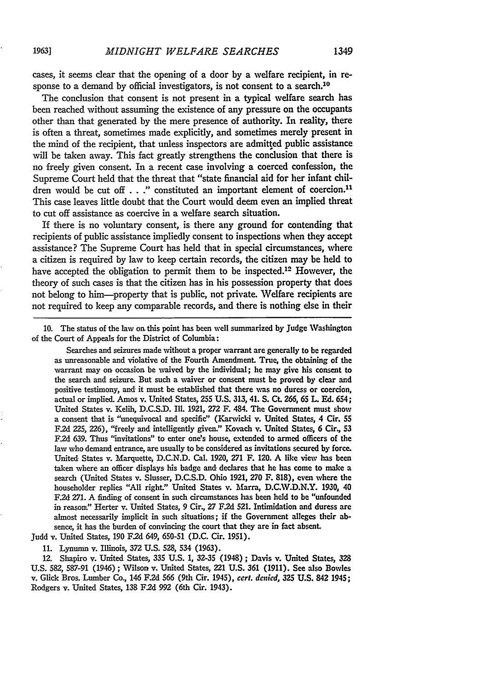cases, it seems clear that the opening of a door **by** a welfare recipient, in response to a demand by official investigators, is not consent to a search.<sup>10</sup>

The conclusion that consent is not present in a typical welfare search has been reached without assuming the existence of any pressure on the occupants other than that generated **by** the mere presence of authority. In reality, there is often a threat, sometimes made explicitly, and sometimes merely present in the mind of the recipient, that unless inspectors are admitted public assistance will be taken away. This fact greatly strengthens the conclusion that there is no freely given consent. In a recent case involving a coerced confession, the Supreme Court held that the threat that "state financial aid for her infant children would be cut off  $\ldots$  " constituted an important element of coercion.<sup>11</sup> This case leaves little doubt that the Court would deem even an implied threat to cut off assistance as coercive in a welfare search situation.

If there is no voluntary consent, is there any ground for contending that recipients of public assistance impliedly consent to inspections when they accept assistance? The Supreme Court has held that in special circumstances, where a citizen is required **by** law to keep certain records, the citizen may be held to have accepted the obligation to permit them to be inspected.<sup>12</sup> However, the theory of such cases is that the citizen has in his possession property that does not belong to him-property that is public, not private. Welfare recipients are not required to keep any comparable records, and there is nothing else in their

**10.** The status of the law *on.* this point has been well summarized **by** Judge Washington of the Court of Appeals for the District of Columbia:

Searches and seizures made without a proper warrant are generally to be regarded as unreasonable and violative of the Fourth Amendment. True, the obtaining of the warrant may on occasion be waived by the individual; he may give his consent to the search and seizure. But such a waiver or consent must be proved **by** clear and positive testimony, and it must be established that there was no duress or coercion, actual or implied. Amos v. United States, **255 U.S. 313,** 41. **S.** Ct. **266, 65 L. Ed.** 654; United States v. Kelih, D.C.S.D. Ill. 1921, 272 F. 484. The Government must show a consent that is "unequivocal and specific' (Karwicki v. United States, 4 Cir. 55 **F.2d 225,** 226), "freely and intelligently given." Kovach v. United States, **6** Cir., **53 F.2d 639.** Thus "invitations" to enter one's house, extended to armed officers of the law who demand entrance, are usually to be considered as invitations secured **by** force. United, States v. Marquette, **D.C.N.D.** Cal. **1920,** 271 F. 120. A like view has been taken where an officer displays his badge and declares that he has come to make a search (United States v. Slusser, **D.C.S.D.** Ohio **1921, 270** F. **818),** even where the householder replies "All right." United States v. Marra, **D.C.W.D.N.Y. 1930,** 40 **F.2d 271. A** finding of consent in such circumstances has been held to be "unfounded in reasom" Herter v. United States, 9 Cir., **27 F.2d** 521. Intimidation and duress are almost necessarily implicit in such situations; if the Government alleges their absence, it has the burden of convincing the court that they are in fact absent.

Judd v. United States, **190 F.2d** 649, **650-51 (D.C.** Cir. 1951).

**11.** Lynumn v. Illinois, **372 U.S. 528,** 534 **(1963).**

12. Shapiro v. United States, **335 U.S. 1, 32-35** (1948) **;** Davis v. United States, **328 U.S. 582, 587-91** (1946) **;** Wilson v. United States, 221 **U.S. 361 (1911).** See also Bowles v. Glick Bros. Lumber Co., 146 **F.2d 566** (9th Cir. 1945), *cert. dcnicd,* **325 U.S.** 842 1945; Rodgers v. United States, **138 F.2d 992** (6th Cir. 1943).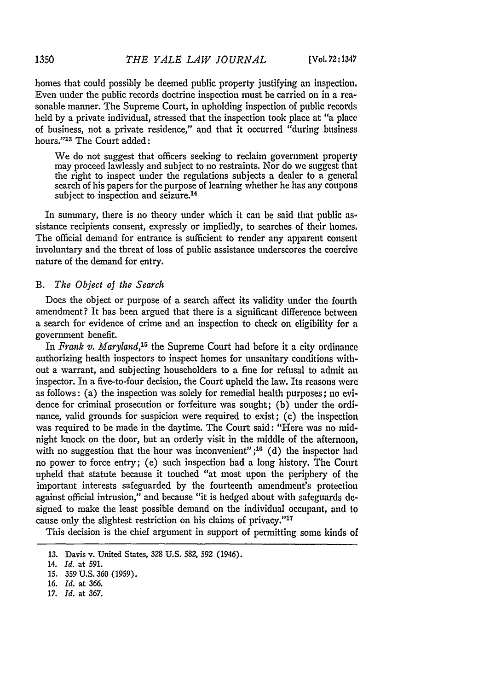homes that could possibly be deemed public property justifying an inspection. Even under the public records doctrine inspection must be carried on in a reasonable manner. The Supreme Court, in upholding inspection of public records held by a private individual, stressed that the inspection took place at "a **place** of business, not a private residence," and that it occurred "during business hours."<sup>13</sup> The Court added:

We do not suggest that officers seeking to reclaim government property may proceed lawlessly and subject to no restraints. Nor do we suggest that the right to inspect under the regulations subjects a dealer to a general search of his papers for the purpose of learning whether he has any coupons subject to inspection and seizure.<sup>14</sup>

In summary, there is no theory under which it can be said that public assistance recipients consent, expressly or impliedly, to searches of their homes. The official demand for entrance is sufficient to render any apparent consent involuntary and the threat of loss of public assistance underscores the coercive nature of the demand for entry.

# *B. The Object of the Search*

Does the object or purpose of a search affect its validity under the fourth amendment? It has been argued that there is a significant difference between a search for evidence of crime and an inspection to check on eligibility for a government benefit.

In *Frank v. Maryland,'5* the Supreme Court had before it a city ordinance authorizing health inspectors to inspect homes for unsanitary conditions without a warrant, and subjecting householders to a fine for refusal to admit an inspector. In a five-to-four decision, the Court upheld the law. Its reasons were as follows: (a) the inspection was solely for remedial health purposes; no evidence for criminal prosecution or forfeiture was sought; (b) under the ordinance, valid grounds for suspicion were required to exist; (c) the inspection was required to be made in the daytime. The Court said: "Here was no midnight knock on the door, but an orderly visit in the middle of the afternoon, with no suggestion that the hour was inconvenient" **;16** (d) the inspector had no power to force entry; (e) such inspection had a long history. The Court upheld that statute because it touched "at most upon the periphery of the important interests safeguarded by the fourteenth amendment's protection against official intrusion," and because "it is hedged about with safeguards designed to make the least possible demand on the individual occupant, and to cause only the slightest restriction on his claims of privacy."<sup>17</sup>

This decision is the chief argument in support of permitting some kinds of

<sup>13.</sup> Davis v. United States, 328 U.S. 582, 592 (1946).

<sup>14.</sup> *Id.* at 591.

<sup>15. 359</sup> U.S. **360** (1959).

<sup>16.</sup> *Id.* at **366.**

<sup>17.</sup> *Id.* at **367.**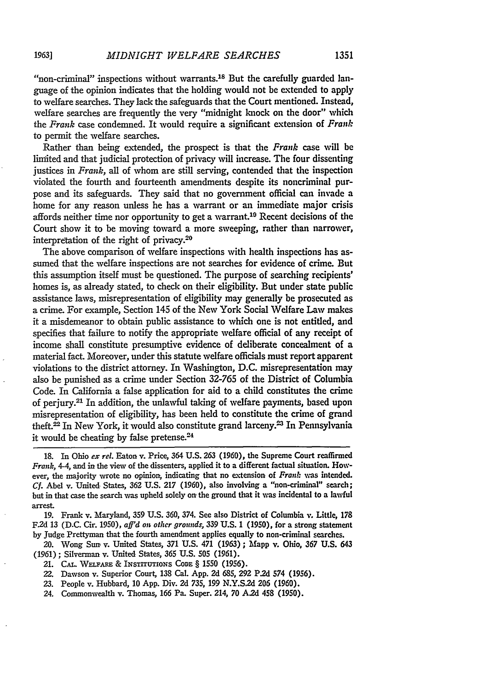"non-criminal" inspections without warrants.<sup>18</sup> But the carefully guarded language of the opinion indicates that the holding would not be extended to apply to welfare searches. They lack the safeguards that the Court mentioned. Instead, welfare searches are frequently the very "midnight knock on the door" which the *Frank* case condemned. It would require a significant extension of *Frank* to permit the welfare searches.

Rather than being extended, the prospect is that the *Frank* case will be limited and that judicial protection of privacy will increase. The four dissenting justices in *Frank*, all of whom are still serving, contended that the inspection violated the fourth and fourteenth amendments despite its noncriminal purpose and its safeguards. They said that no government official can invade a home for any reason unless he has a warrant or an immediate major crisis affords neither time nor opportunity to get a warrant.10 Recent decisions of the Court show it to be moving toward a more sweeping, rather than narrower, interpretation of the right of privacy. $20$ 

The above comparison of welfare inspections with health inspections has assumed that the welfare inspections are not searches for evidence of crime. But this assumption itself must be questioned. The purpose of searching recipients' homes is, as already stated, to check on their eligibility. But under state public assistance laws, misrepresentation of eligibility may generally be prosecuted as a crime. For example, Section 145 of the New York Social Welfare Law makes it a misdemeanor to obtain public assistance to which one is not entitled, and specifies that failure to notify the appropriate welfare official of any receipt of income shall constitute presumptive evidence of deliberate concealment of a material fact. Moreover, under this statute welfare officials must report apparent violations to the district attorney. In Washington, D.C. misrepresentation may also be punished as a crime under Section 32-765 of the District of Columbia Code. In California a false application for aid to a child constitutes the crime of perjury.21 In addition, the unlawful taking of welfare payments, based upon misrepresentation of eligibility, has been held to constitute the crime of grand theft.<sup>22</sup> In New York, it would also constitute grand larceny.<sup>23</sup> In Pennsylvania it would be cheating by false pretense.<sup>24</sup>

**18.** In Ohio *ex rel.* Eaton v. Price, 364 **U.S. 263 (1960),** the Supreme Court reaffirmed *Frank,* 4-4, and in the view of the dissenters, applied it to a different factual situation. However, the majority wrote no opinion, indicating that no extension of *Frank* was intended. *Cf.* Abel v. United, States, **362 U.S. 217** (1960), also involving a "non-criminal" search; but in that case the search was upheld solely on the ground that it was incidental to a lawful arrest.

**19.** Frank v. Maryland, **359 U.S.** 360, 374. See also District of Columbia **v,** Little, **178 F.2d** 13 (D.C. Cir. 1950), *aff'd on othcr grounds,* **339 U.S. 1** (1950), for a strong statement **by** Judge Prettyman that the fourth amendment applies equally to non-criminal searches.

20. Wong **Sum** v. United States, **371 U.S.** 471 (1963); Mapp v. Ohio, **367 U.S.** 643 (1961); Silverman v. United States, **365 U.S.** 505 **(1961).**

- 21. **CAJ. WELFARE** & **INSTITUTIONs CODE** § 1550 (1956).
- 22. Dawson v. Superior Court, 138 Cal. **App. 2d 685, 292 P.2d** 574 **(1956).**
- **23.** People v. Hubbard, **10** App. Div. **2d** *735,* **199** N.Y.S.2d **206 (1960).**
- 24. Commonwealth v. Thomas, 166 Pa. Super. 214, **70 A2d** 458 (1950).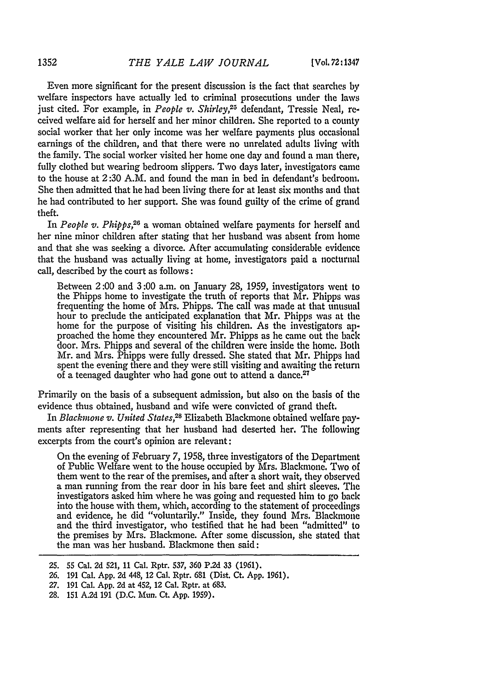Even more significant for the present discussion is the fact that searches by welfare inspectors have actually led to criminal prosecutions under the laws just cited. For example, in *People v. Shirley,25* defendant, Tressie Neal, received welfare aid for herself and her minor children. She reported to a county social worker that her only income was her welfare payments plus occasional earnings of the children, and that there were no unrelated adults living with the family. The social worker visited her home one day and found a man there, fully clothed but wearing bedroom slippers. Two days later, investigators came to the house at **2:30** A.M. and found the man in bed in defendant's bedroom. She then admitted that he had been living there for at least six months and that he had contributed to her support. She was found guilty of the crime of grand theft.

In *People v. Phipps,26* a woman obtained welfare payments for herself and her nine minor children after stating that her husband was absent from home and that she was seeking a divorce. After accumulating considerable evidence that the husband was actually living at home, investigators paid a nocturnal call, described by the court as follows:

Between 2:00 and **3:00** a.m. on January 28, 1959, investigators went to the Phipps home to investigate the truth of reports that Mr. Phipps was frequenting the home of Mrs. Phipps. The call was made at that unusual hour to preclude the anticipated explanation that Mr. Phipps was at the home for the purpose of visiting his children. As the investigators approached the home they encountered Mr. Phipps as he came out the back door. Mrs. Phipps and several of the children were inside the home. Both Mr. and Mrs. Phipps were fully dressed. She stated that Mr. Phipps had spent the evening there and they were still visiting and awaiting the return of a teenaged daughter who had gone out to attend a dance.<sup>27</sup>

Primarily on the basis of a subsequent admission, but also on the basis of the evidence thus obtained, husband and wife were convicted of grand theft.

In *Blackmone v. United States,28* Elizabeth Blackmone obtained welfare payments after representing that her husband had deserted her. The following excerpts from the court's opinion are relevant:

On the evening of February **7, 1958,** three investigators of the Department of Public Welfare went to the house occupied **by** Mrs. Blackmone. Two of them went to the rear of the premises, and after a short wait, they observed a man running from the rear door in his bare feet and shirt sleeves. The investigators asked him where he was going and requested him to go back into the house with them, which, according to the statement of proceedings and evidence, he did "voluntarily." Inside, they found Mrs. Blackmone and the third investigator, who testified that he had been "admitted" to the premises **by** Mrs. Blackmone. After some discussion, she stated that the man was her husband. Blackmone then said:

**<sup>25. 55</sup> Cal. 2d 521, 11 Cal. Rptr. 537, 360 P.2d 33 (1961).**

**<sup>26.</sup> 191 Cal. App. 2d** 448, **12 Cal. Rptr. 681 (Dist. Ct. App. 1961).**

**<sup>27. 191</sup> Cal. App. 2d at 452, 12 Cal. Rptr. at 683.**

**<sup>28. 151</sup> A.2d 191 (D.C. Mun. Ct. App. 1959).**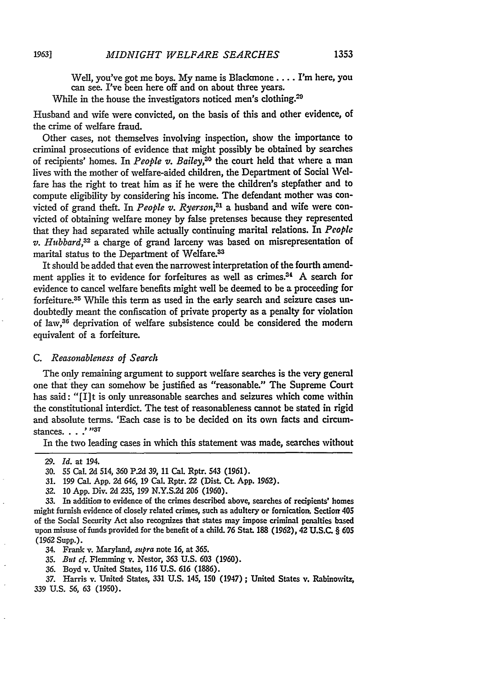Well, you've got me boys. My name is Blackmone .... I'm here, you can see. I've been here off and on about three years.

While in the house the investigators noticed men's clothing.<sup>20</sup>

Husband and wife were convicted, on the basis of this and other evidence, **of** the crime of welfare fraud.

Other cases, not themselves involving inspection, show the importance to criminal prosecutions of evidence that might possibly be obtained **by** searches of recipients' homes. In *People v. Bailey,30* the court held that where a man lives with the mother of welfare-aided children, the Department of Social Welfare has the right to treat him as if he were the children's stepfather and to compute eligibility **by** considering his income. The defendant mother was convicted of grand theft. In *People v. Ryerson,3'* a husband and wife were convicted of obtaining welfare money **by** false pretenses because they represented that they had separated while actually continuing marital relations. In *People v. Hubbard,32* a charge of grand larceny was based on misrepresentation of marital status to the Department of Welfare.<sup>33</sup>

It should be added that even the narrowest interpretation of the fourth amendment applies it to evidence for forfeitures as well as crimes.<sup>34</sup> A search for evidence to cancel welfare benefits might well be deemed to be a proceeding for forfeiture.35 While this term as used in the early search and seizure cases undoubtedly meant the confiscation of private property as a penalty for violation of law,<sup>36</sup> deprivation of welfare subsistence could be considered the modern equivalent of a forfeiture.

# *C. Reasonableness of Search*

The **only** remaining argument to support welfare searches is the very general one that they can somehow be justified as "reasonable." The Supreme Court has said: "[I]t is only unreasonable searches and seizures which come within the constitutional interdict. The test of reasonableness cannot be stated in rigid and absolute terms. 'Each case is to be decided on its own facts and circumstances..."

In the two leading cases in which this statement was made, searches without

- **31.** 199 Cal. App. **2d** 646, 19 Cal. Rptr. 22 (Dist. Ct. App. 1962).
- **32.** 10 App. Div. *2d* 235, 199 N.Y.S.2d **206** (1960).

- 34. Frank v. Maryland, *supra* note 16, at **365.**
- *35. But* **cf.** Flemming v. Nestor, **363** U.S. **603** (1960).
- **36.** Boyd v. United States, 116 U.S. **616** (1886).

**37.** Harris v. United, States, **331** U.S. 145, **150** (1947); United States v. Rabinowvitz, **339** U.S. **56, 63** (1950).

**<sup>29.</sup>** *Id.* at 194.

**<sup>30. 55</sup>** Cal. **2d** 514, **360 P.2d 39,** 11 Cal. Rptr. 543 (1961).

*<sup>33.</sup>* In addition to evidence of the crimes described above, searches of recipients' homes might furnish evidence of closely related crimes, such as adultery or fornication Section 405 of the Social Security Act also recognizes that states may impose criminal penalties based upon misuse of funds provided for the benefit of a child. 76 Stat. **188** (1962), 42 **U.S.C.** § **605** (1962 Supp.).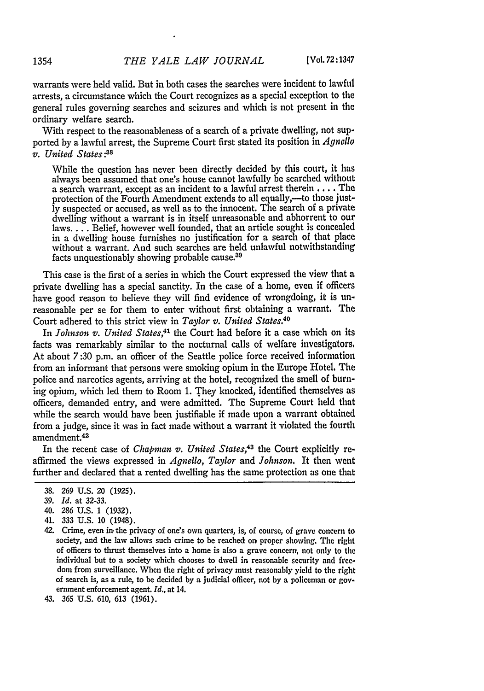warrants were held valid. But in both cases the searches were incident to lawful arrests, a circumstance which the Court recognizes as a special exception to the general rules governing searches and seizures and which is not present in the ordinary welfare search.

With respect to the reasonableness of a search of a private dwelling, not supported by a lawful arrest, the Supreme Court first stated its position in *Agncllo v. United States:3s*

While the question has never been directly decided by this court, it has always been assumed that one's house cannot lawfully be searched without a search warrant, except as an incident to a lawful arrest therein .... The protection of the Fourth Amendment extends to all equally,- to those justly suspected or accused, as well as to the innocent. The search of a private dwelling without a warrant is in itself unreasonable and abhorrent to our laws. . . . Belief, however well founded, that an article sought is concealed in a dwelling house furnishes no justification for a search of that place without a warrant. And such searches are held unlawful notwithstanding facts unquestionably showing probable cause.39

This case is the first of a series in which the Court expressed the view that a private dwelling has a special sanctity. In the case of a home, even if officers have good reason to believe they will find evidence of wrongdoing, it is unreasonable per se for them to enter without first obtaining a warrant. The Court adhered to this strict view in *Taylor v. United States.<sup>40</sup>*

In *Johnson v. United States,41* the Court had before it a case which on its facts was remarkably similar to the nocturnal calls of welfare investigators. At about 7:30 p.m. an officer of the Seattle police force received information from an informant that persons were smoking opium in the Europe Hotel. The police and narcotics agents, arriving at the hotel, recognized the smell of burning opium, which led them to Room 1. They knocked, identified themselves as officers, demanded entry, and were admitted. The Supreme Court held that while the search would have been justifiable if made upon a warrant obtained from a judge, since it was in fact made without a warrant it violated the fourth amendment.<sup>42</sup>

In the recent case of *Chapman v. United States*,<sup>48</sup> the Court explicitly reaffirmed the views expressed in *Agnello, Taylor* and *Johnson.* It then went further and declared that a rented dwelling has the same protection as one that

41. **333** U.S. 10 (1948).

**<sup>38.</sup>** 269 U.S. 20 (1925).

**<sup>39.</sup>** *Id.* at **32-33.**

<sup>40. 286</sup> **U.S.** 1 (1932).

<sup>42.</sup> Crime, even in the privacy of one's own quarters, is, of course, of grave concern to society, and the law allows such crime to be reached on proper showing. The right of officers to thrust themselves into a home is also a grave concern, not only to the individual but to a society which chooses to dwell in reasonable security and freedom from surveillance. When the right of privacy must reasonably yield to the right of search is, as a rule, to be decided by a judicial officer, not by a policeman or government enforcement agent. *Id.,* at 14.

<sup>43.</sup> *365* U.S. 610, 613 (1961).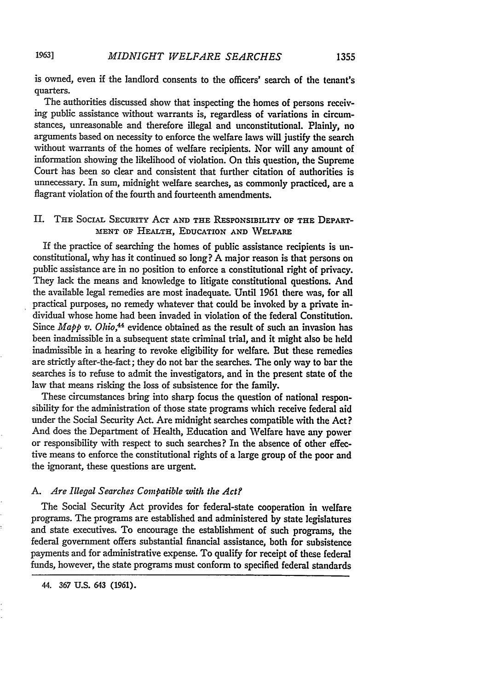is owned, even if the landlord consents to the officers' search of the tenant's quarters.

The authorities discussed show that inspecting the homes of persons receiving public assistance without warrants is, regardless of variations in circumstances, unreasonable and therefore illegal and unconstitutional. Plainly, no arguments based on necessity to enforce the welfare laws will justify the search without warrants of the homes of welfare recipients. Nor will any amount of information showing the likelihood of violation. On this question, the Supreme Court has been so clear and consistent that further citation of authorities is unnecessary. In sum, midnight welfare searches, as commonly practiced, are a flagrant violation of the fourth and fourteenth amendments.

# II. THE SOCIAL SECURITY **ACT AND THE** RESPONSIBILITY **OF THE DEPART-MENT OF HEALTH,** EDUCATION **AND WELFARE**

If the practice of searching the homes of public assistance recipients is unconstitutional, why has it continued so long? A major reason is that persons on public assistance are in no position to enforce a constitutional right of privacy. They lack the means and knowledge to litigate constitutional questions. And the available legal remedies are most inadequate. Until 1961 there was, for all practical purposes, no remedy whatever that could be invoked by a private individual whose home had been invaded in violation of the federal Constitution. Since *Mapp v. Ohio*,<sup>44</sup> evidence obtained as the result of such an invasion has been inadmissible in a subsequent state criminal trial, and it might also be held inadmissible in a hearing to revoke eligibility for welfare. But these remedies are strictly after-the-fact; they do not bar the searches. The only way to bar the searches is to refuse to admit the investigators, and in the present state of the law that means risking the loss of subsistence for the family.

These circumstances bring into sharp focus the question of national responsibility for the administration of those state programs which receive federal aid under the Social Security Act. Are midnight searches compatible with the Act? And does the Department of Health, Education and Welfare have any power or responsibility with respect to such searches? In the absence of other effective means to enforce the constitutional rights of a large group of the poor and the ignorant, these questions are urgent.

#### *A. Are Illegal Searches Compatible with the Act?*

The Social Security Act provides for federal-state cooperation in welfare programs. The programs are established and administered **by** state legislatures and state executives. To encourage the establishment of such programs, the federal government offers substantial financial assistance, both for subsistence payments and for administrative expense. To qualify for receipt of these federal funds, however, the state programs must conform to specified federal standards

44. **367 U.S.** 643 **(1961).**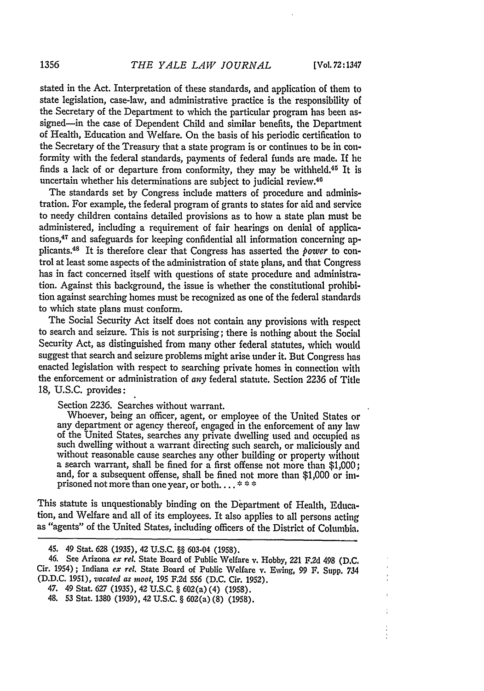stated in the Act. Interpretation of these standards, and application of them to state legislation, case-law, and administrative practice is the responsibility of the Secretary of the Department to which the particular program has been assigned-in the case of Dependent Child and similar benefits, the Department of Health, Education and Welfare. On the basis of his periodic certification to the Secretary of the Treasury that a state program is or continues to be in conformity with the federal standards, payments of federal funds are made. If he finds a lack of or departure from conformity, they may be withheld.46 It is uncertain whether his determinations are subject to judicial review. <sup>40</sup>

The standards set **by** Congress include matters of procedure and administration. For example, the federal program of grants to states for aid and service to needy children contains detailed provisions as to how a state plan must **be** administered, including a requirement of fair hearings on denial of applications,47 and safeguards for keeping confidential all information concerning applicants.48 It is therefore clear that Congress has asserted the *power* to control at least some aspects of the administration of state plans, and that Congress has in fact concerned itself with questions of state procedure and administration. Against this background, the issue is whether the constitutional prohibition against searching homes must be recognized as one of the federal standards to which state plans must conform.

The Social Security Act itself does not contain any provisions with respect to search and seizure. This is not surprising; there is nothing about the Social Security Act, as distinguished from many other federal statutes, which would suggest that search and seizure problems might arise under it. But Congress has enacted legislation with respect to searching private homes in connection with the enforcement or administration of *any* federal statute. Section **2236** of Title **18, U.S.C.** provides:

Section **2236.** Searches without warrant.

Whoever, being an officer, agent, or employee of the United States or any department or agency thereof, engaged in the enforcement of **any** law of the United States, searches any private dwelling used and occupied as such dwelling without a warrant directing such search, or maliciously and without reasonable cause searches any other building or property without a search warrant, shall be fined for a first offense not more than \$1,000; and, for a subsequent offense, shall be fined not more than \$1,000 or imprisoned not more than one year, or both.... **.\***

This statute is unquestionably binding on the Department of Health, Education, and Welfare and all of its employees. It also applies to all persons acting as "agents" of the United States, including officers of the District of Columbia.

46. See Arizona ex rel. State Board of Public Welfare v. Hobby, 221 F.2d 498 (D.C. Cir. 1954); Indiana **ex** rel. State Board of Public Welfare v. Ewing, **99** F. Supp, 734 **(D.D.C. 1951),** *vacated as moot,* **195 F.2d 556 (D.C.** Cir. **1952).**

**47.** 49 **Stat. 627 (1935), 42 U.S.C.** § **602(a) (4) (1958).**

<sup>45. 49</sup> Stat. 628 (1935), 42 **U.S.C.** §§ 603-04 (1958).

**<sup>48. 53</sup> Stat. 1380 (1939), 42 U.S.C.** § **602(a) (8) (1958).**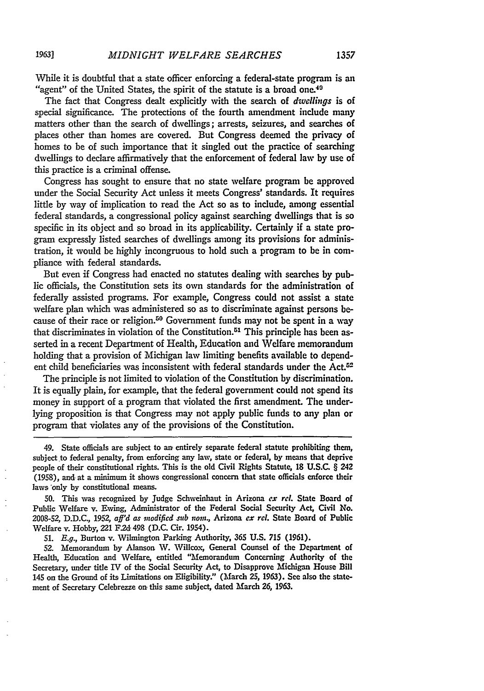While it is doubtful that a state officer enforcing a federal-state program is an "agent" of the United States, the spirit of the statute is a broad one.<sup>40</sup>

The fact that Congress dealt explicitly with the search of *dwellings* is of special significance. The protections of the fourth amendment include many matters other than the search of dwellings; arrests, seizures, and searches of places other than homes are covered. But Congress deemed the privacy of homes to be of such importance that it singled out the practice of searching dwellings to declare affirmatively that the enforcement of federal **law** by use of this practice is a criminal offense.

Congress has sought to ensure that no state welfare program be approved under the Social Security Act unless it meets Congress' standards. It requires little **by** way of implication to read the Act so as to include, among essential federal standards, a congressional policy against searching dwellings that is so specific in its object and so broad in its applicability. Certainly if a state program expressly listed searches of dwellings among its provisions for administration, it would be highly incongruous to hold such a program to be in compliance with federal standards.

But even if Congress had enacted no statutes dealing with searches by public officials, the Constitution sets its own standards for the administration of federally assisted programs. For example, Congress could not assist a state welfare plan which was administered so as to discriminate against persons because of their race or religion.50 Government funds may not be spent in a way that discriminates in violation of the Constitution.<sup>51</sup> This principle has been asserted in a recent Department of Health, Education and Welfare memorandum holding that a provision of Michigan law limiting benefits available to dependent child beneficiaries was inconsistent with federal standards under the Act.<sup>52</sup>

The principle is not limited to violation of the Constitution by discrimination. It is equally plain, for example, that the federal government could not spend its money in support of a program that violated the first amendment. The underlying proposition is that Congress may not apply public funds to any plan or program that violates any of the provisions of the Constitution.

49. State officials are subject to an entirely separate federal statute prohibiting them, subject to federal penalty, from enforcing any law, state or federal, by means that deprive people of their constitutional rights. This is the old Civil Rights Statute, 18 U.S.C. § 242 (1958), and at a minimum it shows congressional concern that state officials enforce their laws 'only **by** constitutional means.

50. This was recognized by Judge Schweinhaut in Arizona *ex* **rel.** State Board of Public Welfare v. Ewing, Administrator of the Federal Social Security Act, Civil No. 2008-52, D.D.C., 1952, *aff'd as modificd sub norn., Arizona cx rel.* State Board of Public Welfare v. Hobby, 221 **F2d** 498 (D.C. Cir. 1954).

51. *E.g.,* Burton v. Wilmington Parking Authority, 365 U.S. 715 (1961).

52. Memorandum by Alanson W. Willcox, General Counsel of the Department of Health, Education and Welfare, entitled "Memorandum Concerning Authority of the Secretary, under title IV of the Social Security Act, to Disapprove Michigan House Bill 145 on the Ground of its Limitations on Eligibility." (March **25, 1963).** See also the statement of Secretary Celebrezze **on,** this same subject, dated March **26, 1963.**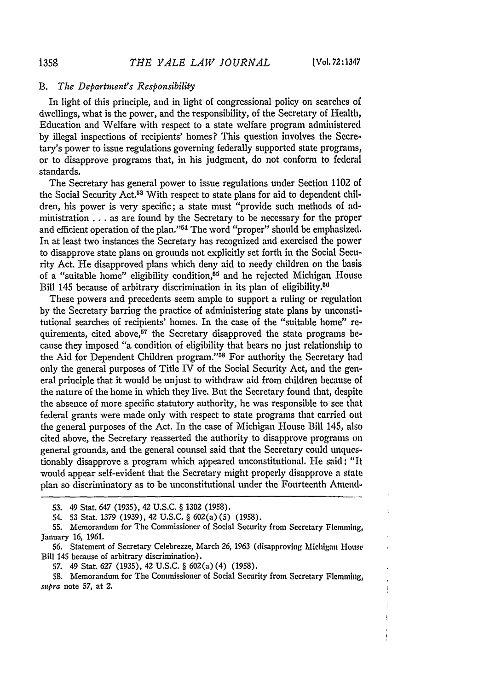$\mathbf{i}$ 

ł

# *B. The Department's Responsibility*

In light of this principle, and in light of congressional policy on searches of dwellings, what is the power, and the responsibility, of the Secretary of Health, Education and Welfare with respect to a state welfare program administered by illegal inspections of recipients' homes? This question involves the Secretary's power to issue regulations governing federally supported state programs, or to disapprove programs that, in his judgment, do not conform to federal standards.

The Secretary has general power to issue regulations under Section 1102 of the Social Security Act.53 With respect to state plans for aid to dependent children, his power is very specific; a state must "provide such methods of administration **...** as are found by the Secretary to be necessary for the proper and efficient operation of the plan."<sup>54</sup> The word "proper" should be emphasized. In at least two instances the Secretary has recognized and exercised the power to disapprove state plans on grounds not explicitly set forth in the Social Security Act. He disapproved plans which deny aid to needy children on the basis of a "suitable home" eligibility condition,<sup>55</sup> and he rejected Michigan House Bill 145 because of arbitrary discrimination in its plan of eligibility.<sup>50</sup>

These powers and precedents seem ample to support a ruling or regulation by the Secretary barring the practice of administering state plans by unconstitutional searches of recipients' homes. In the case of the "suitable home" requirements, cited above,<sup>57</sup> the Secretary disapproved the state programs because they imposed "a condition of eligibility that bears no just relationship to the Aid for Dependent Children program."<sup>58</sup> For authority the Secretary had only the general purposes of Title IV of the Social Security Act, and the general principle that it would be unjust to withdraw aid from children because of the nature of the home in which they live. But the Secretary found that, despite the absence of more specific statutory authority, he was responsible to see that federal grants were made only with respect to state programs that carried out the general purposes of the Act. In the case of Michigan House Bill 145, also cited above, the Secretary reasserted the authority to disapprove programs on general grounds, and the general counsel said that the Secretary could unquestionably disapprove a program which appeared unconstitutional. He said: "It would appear self-evident that the Secretary might properly disapprove a state plan so discriminatory as to be unconstitutional under the Fourteenth Amend-

54. 53 Stat. 1379 (1939), 42 U.S.C. § 602(a) (5) (1958).

**55.** Memorandum for The Commissioner of Social Security from Secretary Flemming, January *16, 1961.*

**56.** Statement of Secretary Celebrezze, March **26,** 1963 (disapproving Michigan **Ilouse** Bill 145 because of arbitrary discrimination).

**57.** 49 Stat. 627 (1935), 42 U.S.C. § 602(a) (4) (1958).

**58.** Memorandum for The Commissioner of Social Security from Secretary Flemminig, **supra** note **57,** at 2.

<sup>53. 49</sup> Stat. 647 (1935), 42 U.S.C. § 1302 (1958).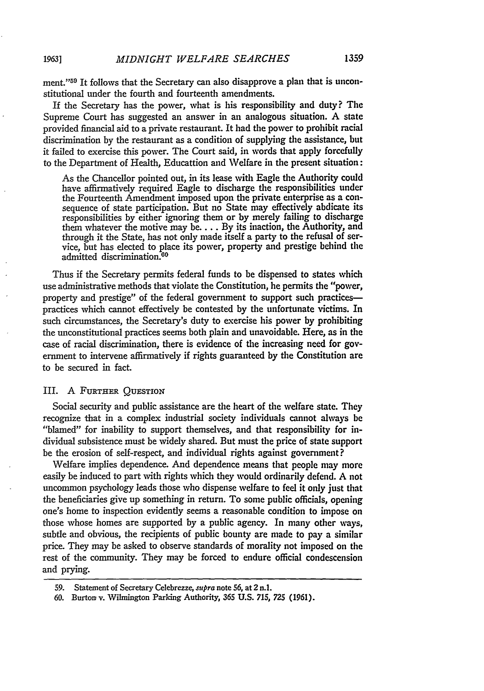ment."59 It follows that the Secretary can also disapprove a plan that is unconstitutional under the fourth and fourteenth amendments.

If the Secretary has the power, what is his responsibility and duty? The Supreme Court has suggested an answer in an analogous situation. **A** state provided financial aid to a private restaurant. It had the power to prohibit racial discrimination **by** the restaurant as a condition of supplying the assistance, but it failed to exercise this power. The Court said, in words that apply forcefully to the Department of Health, Educattion and Welfare in the present situation:

As the Chancellor pointed out, in its lease with Eagle the Authority could have affirmatively required Eagle to discharge the responsibilities under the Fourteenth Amendment imposed upon the private enterprise as a consequence of state participation. But no State may effectively abdicate its responsibilities **by** either ignoring them or by merely failing to discharge them whatever the motive may be.... **By** its inaction, the Authority, and through it the State, has not only made itself a party to the refusal of service, but has elected to place its power, property and prestige behind the admitted discrimination.<sup>60</sup>

Thus if the Secretary permits federal funds to be dispensed to states which use administrative methods that violate the Constitution, he permits the "power, property and prestige" of the federal government to support such practicespractices which cannot effectively be contested **by** the unfortunate victims. In such circumstances, the Secretary's duty to exercise his power by prohibiting the unconstitutional practices seems both plain and unavoidable. Here, as in the case of racial discrimination, there is evidence of the increasing need for government to intervene affirmatively if rights guaranteed by the Constitution are to be secured in fact.

# III. A FURTHER QUESTION

Social security and public assistance are the heart of the welfare state. **They** recognize that in a complex industrial society individuals cannot always be "blamed" for inability to support thenselves, and that responsibility for individual subsistence must be widely shared. But must the price of state support be the erosion of self-respect, and individual rights against government?

Welfare implies dependence. And dependence means that people may more easily be induced to part with rights which they would ordinarily defend. A not uncommon psychology leads those who dispense welfare to feel it only just that the beneficiaries give up something in return. To some public officials, opening one's home to inspection evidently seems a reasonable condition to impose on those whose homes are supported **by** a public agency. In many other ways, subtle and obvious, the recipients of public bounty are made to pay a similar price. They may be asked to observe standards of morality not imposed on the rest of the community. They may be forced to endure official condescension and prying.

**<sup>59.</sup>** Statement of Secretary Celebrezze, supra note **56,** at 2 **n.1.**

**<sup>60.</sup>** Burton v. Wilmington Parking Authority, **365 U.S. 715,** *725* **(1961).**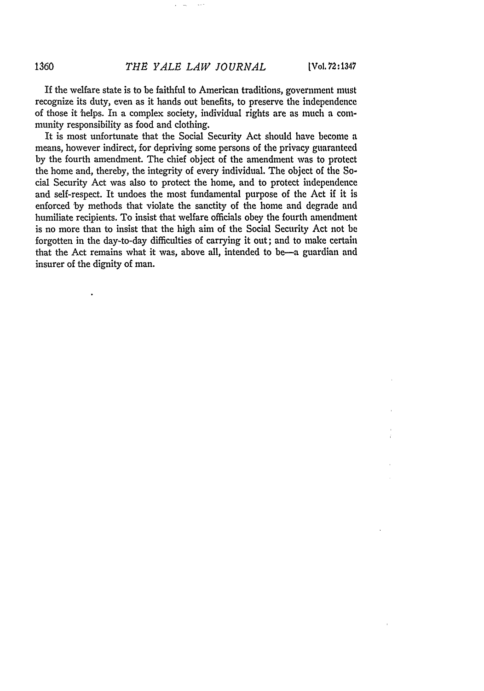If the welfare state is to be faithful to American traditions, government must recognize its duty, even as it hands out benefits, to preserve the independence of those it helps. In a complex society, individual rights are as much a community responsibility as food and clothing.

It is most unfortunate that the Social Security Act should have become a means, however indirect, for depriving some persons of the privacy guaranteed by the fourth amendment. The chief object of the amendment was to protect the home and, thereby, the integrity of every individual. The object of the Social Security Act was also to protect the home, and to protect independence and self-respect. It undoes the most fundamental purpose of the Act if it is enforced by methods that violate the sanctity of the home and degrade and humiliate recipients. To insist that welfare officials obey the fourth amendment is no more than to insist that the high aim of the Social Security Act not be forgotten in the day-to-day difficulties of carrying it out; and to make certain that the Act remains what it was, above all, intended to be-a guardian and insurer of the dignity of man.